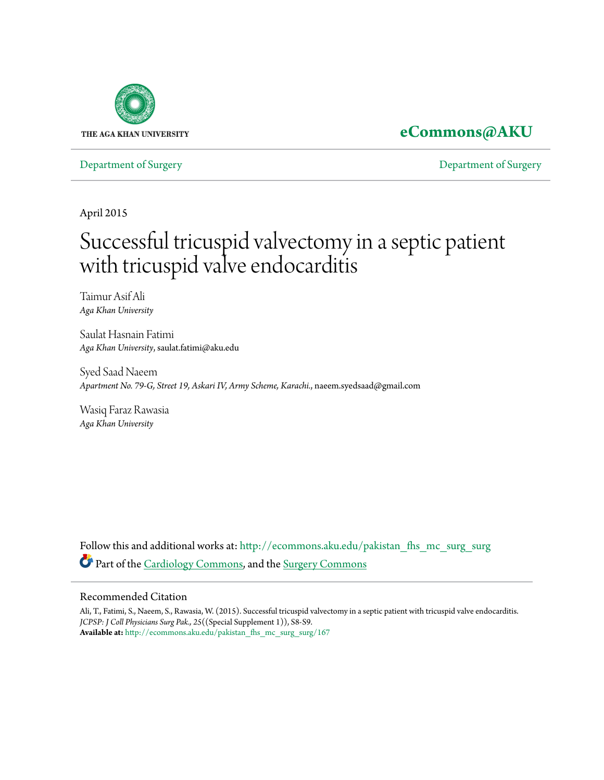

## **[eCommons@AKU](http://ecommons.aku.edu?utm_source=ecommons.aku.edu%2Fpakistan_fhs_mc_surg_surg%2F167&utm_medium=PDF&utm_campaign=PDFCoverPages)**

[Department of Surgery](http://ecommons.aku.edu/pakistan_fhs_mc_surg_surg?utm_source=ecommons.aku.edu%2Fpakistan_fhs_mc_surg_surg%2F167&utm_medium=PDF&utm_campaign=PDFCoverPages) [Department of Surgery](http://ecommons.aku.edu/pakistan_fhs_mc_surg?utm_source=ecommons.aku.edu%2Fpakistan_fhs_mc_surg_surg%2F167&utm_medium=PDF&utm_campaign=PDFCoverPages)

April 2015

# Successful tricuspid valvectomy in a septic patient with tricuspid valve endocarditis

Taimur Asif Ali *Aga Khan University*

Saulat Hasnain Fatimi *Aga Khan University*, saulat.fatimi@aku.edu

Syed Saad Naeem *Apartment No. 79-G, Street 19, Askari IV, Army Scheme, Karachi.*, naeem.syedsaad@gmail.com

Wasiq Faraz Rawasia *Aga Khan University*

Follow this and additional works at: [http://ecommons.aku.edu/pakistan\\_fhs\\_mc\\_surg\\_surg](http://ecommons.aku.edu/pakistan_fhs_mc_surg_surg?utm_source=ecommons.aku.edu%2Fpakistan_fhs_mc_surg_surg%2F167&utm_medium=PDF&utm_campaign=PDFCoverPages) Part of the [Cardiology Commons](http://network.bepress.com/hgg/discipline/683?utm_source=ecommons.aku.edu%2Fpakistan_fhs_mc_surg_surg%2F167&utm_medium=PDF&utm_campaign=PDFCoverPages), and the [Surgery Commons](http://network.bepress.com/hgg/discipline/706?utm_source=ecommons.aku.edu%2Fpakistan_fhs_mc_surg_surg%2F167&utm_medium=PDF&utm_campaign=PDFCoverPages)

#### Recommended Citation

Ali, T., Fatimi, S., Naeem, S., Rawasia, W. (2015). Successful tricuspid valvectomy in a septic patient with tricuspid valve endocarditis. *JCPSP: J Coll Physicians Surg Pak., 25*((Special Supplement 1)), S8-S9. **Available at:** [http://ecommons.aku.edu/pakistan\\_fhs\\_mc\\_surg\\_surg/167](http://ecommons.aku.edu/pakistan_fhs_mc_surg_surg/167)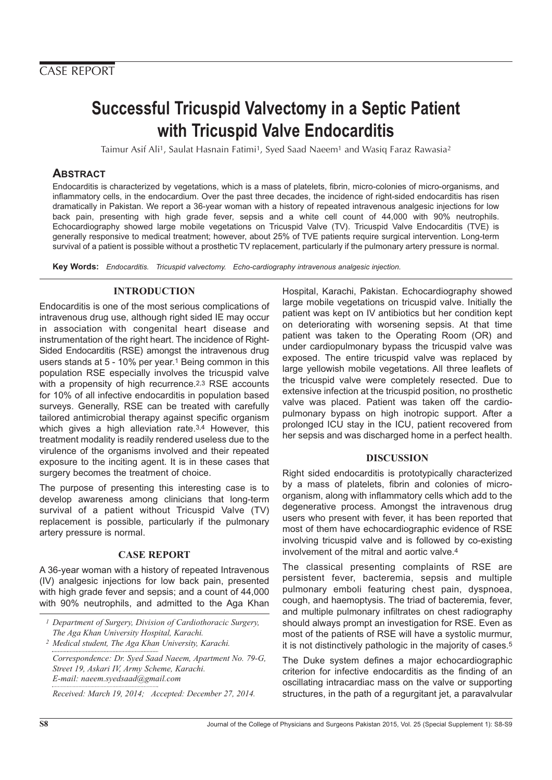# **Successful Tricuspid Valvectomy in a Septic Patient with Tricuspid Valve Endocarditis**

Taimur Asif Ali1, Saulat Hasnain Fatimi1, Syed Saad Naeem1 and Wasiq Faraz Rawasia2

### **ABSTRACT**

Endocarditis is characterized by vegetations, which is a mass of platelets, fibrin, micro-colonies of micro-organisms, and inflammatory cells, in the endocardium. Over the past three decades, the incidence of right-sided endocarditis has risen dramatically in Pakistan. We report a 36-year woman with a history of repeated intravenous analgesic injections for low back pain, presenting with high grade fever, sepsis and a white cell count of 44,000 with 90% neutrophils. Echocardiography showed large mobile vegetations on Tricuspid Valve (TV). Tricuspid Valve Endocarditis (TVE) is generally responsive to medical treatment; however, about 25% of TVE patients require surgical intervention. Long-term survival of a patient is possible without a prosthetic TV replacement, particularly if the pulmonary artery pressure is normal.

**Key Words:** Endocarditis. Tricuspid valvectomy. Echo-cardiography intravenous analgesic injection.

### **INTRODUCTION**

Endocarditis is one of the most serious complications of intravenous drug use, although right sided IE may occur in association with congenital heart disease and instrumentation of the right heart. The incidence of Right-Sided Endocarditis (RSE) amongst the intravenous drug users stands at 5 - 10% per year.<sup>1</sup> Being common in this population RSE especially involves the tricuspid valve with a propensity of high recurrence.<sup>2,3</sup> RSE accounts for 10% of all infective endocarditis in population based surveys. Generally, RSE can be treated with carefully tailored antimicrobial therapy against specific organism which gives a high alleviation rate.<sup>3,4</sup> However, this treatment modality is readily rendered useless due to the virulence of the organisms involved and their repeated exposure to the inciting agent. It is in these cases that surgery becomes the treatment of choice.

The purpose of presenting this interesting case is to develop awareness among clinicians that long-term survival of a patient without Tricuspid Valve (TV) replacement is possible, particularly if the pulmonary artery pressure is normal.

#### **CASE REPORT**

A 36-year woman with a history of repeated Intravenous (IV) analgesic injections for low back pain, presented with high grade fever and sepsis; and a count of 44,000 with 90% neutrophils, and admitted to the Aga Khan

*1 Department of Surgery, Division of Cardiothoracic Surgery, The Aga Khan University Hospital, Karachi.*

*2 Medical student, The Aga Khan University, Karachi.*

*Correspondence: Dr. Syed Saad Naeem, Apartment No. 79-G, Street 19, Askari IV, Army Scheme, Karachi. E-mail: naeem.syedsaad@gmail.com*

*Received: March 19, 2014; Accepted: December 27, 2014.*

Hospital, Karachi, Pakistan. Echocardiography showed large mobile vegetations on tricuspid valve. Initially the patient was kept on IV antibiotics but her condition kept on deteriorating with worsening sepsis. At that time patient was taken to the Operating Room (OR) and under cardiopulmonary bypass the tricuspid valve was exposed. The entire tricuspid valve was replaced by large yellowish mobile vegetations. All three leaflets of the tricuspid valve were completely resected. Due to extensive infection at the tricuspid position, no prosthetic valve was placed. Patient was taken off the cardiopulmonary bypass on high inotropic support. After a prolonged ICU stay in the ICU, patient recovered from her sepsis and was discharged home in a perfect health.

#### **DISCUSSION**

Right sided endocarditis is prototypically characterized by a mass of platelets, fibrin and colonies of microorganism, along with inflammatory cells which add to the degenerative process. Amongst the intravenous drug users who present with fever, it has been reported that most of them have echocardiographic evidence of RSE involving tricuspid valve and is followed by co-existing involvement of the mitral and aortic valve.4

The classical presenting complaints of RSE are persistent fever, bacteremia, sepsis and multiple pulmonary emboli featuring chest pain, dyspnoea, cough, and haemoptysis. The triad of bacteremia, fever, and multiple pulmonary infiltrates on chest radiography should always prompt an investigation for RSE. Even as most of the patients of RSE will have a systolic murmur, it is not distinctively pathologic in the majority of cases.5

The Duke system defines a major echocardiographic criterion for infective endocarditis as the finding of an oscillating intracardiac mass on the valve or supporting structures, in the path of a regurgitant jet, a paravalvular